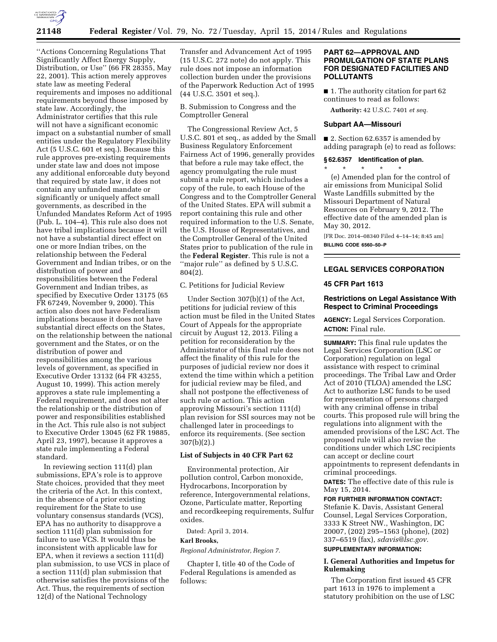

''Actions Concerning Regulations That Significantly Affect Energy Supply, Distribution, or Use'' (66 FR 28355, May 22, 2001). This action merely approves state law as meeting Federal requirements and imposes no additional requirements beyond those imposed by state law. Accordingly, the Administrator certifies that this rule will not have a significant economic impact on a substantial number of small entities under the Regulatory Flexibility Act (5 U.S.C. 601 et seq.). Because this rule approves pre-existing requirements under state law and does not impose any additional enforceable duty beyond that required by state law, it does not contain any unfunded mandate or significantly or uniquely affect small governments, as described in the Unfunded Mandates Reform Act of 1995 (Pub. L. 104–4). This rule also does not have tribal implications because it will not have a substantial direct effect on one or more Indian tribes, on the relationship between the Federal Government and Indian tribes, or on the distribution of power and responsibilities between the Federal Government and Indian tribes, as specified by Executive Order 13175 (65 FR 67249, November 9, 2000). This action also does not have Federalism implications because it does not have substantial direct effects on the States, on the relationship between the national government and the States, or on the distribution of power and responsibilities among the various levels of government, as specified in Executive Order 13132 (64 FR 43255, August 10, 1999). This action merely approves a state rule implementing a Federal requirement, and does not alter the relationship or the distribution of power and responsibilities established in the Act. This rule also is not subject to Executive Order 13045 (62 FR 19885, April 23, 1997), because it approves a state rule implementing a Federal standard.

In reviewing section 111(d) plan submissions, EPA's role is to approve State choices, provided that they meet the criteria of the Act. In this context, in the absence of a prior existing requirement for the State to use voluntary consensus standards (VCS), EPA has no authority to disapprove a section 111(d) plan submission for failure to use VCS. It would thus be inconsistent with applicable law for EPA, when it reviews a section 111(d) plan submission, to use VCS in place of a section 111(d) plan submission that otherwise satisfies the provisions of the Act. Thus, the requirements of section 12(d) of the National Technology

Transfer and Advancement Act of 1995 (15 U.S.C. 272 note) do not apply. This rule does not impose an information collection burden under the provisions of the Paperwork Reduction Act of 1995 (44 U.S.C. 3501 et seq.).

B. Submission to Congress and the Comptroller General

The Congressional Review Act, 5 U.S.C. 801 et seq., as added by the Small Business Regulatory Enforcement Fairness Act of 1996, generally provides that before a rule may take effect, the agency promulgating the rule must submit a rule report, which includes a copy of the rule, to each House of the Congress and to the Comptroller General of the United States. EPA will submit a report containing this rule and other required information to the U.S. Senate, the U.S. House of Representatives, and the Comptroller General of the United States prior to publication of the rule in the **Federal Register**. This rule is not a "major rule" as defined by 5 U.S.C. 804(2).

C. Petitions for Judicial Review

Under Section 307(b)(1) of the Act, petitions for judicial review of this action must be filed in the United States Court of Appeals for the appropriate circuit by August 12, 2013. Filing a petition for reconsideration by the Administrator of this final rule does not affect the finality of this rule for the purposes of judicial review nor does it extend the time within which a petition for judicial review may be filed, and shall not postpone the effectiveness of such rule or action. This action approving Missouri's section 111(d) plan revision for SSI sources may not be challenged later in proceedings to enforce its requirements. (See section 307(b)(2).)

#### **List of Subjects in 40 CFR Part 62**

Environmental protection, Air pollution control, Carbon monoxide, Hydrocarbons, Incorporation by reference, Intergovernmental relations, Ozone, Particulate matter, Reporting and recordkeeping requirements, Sulfur oxides.

Dated: April 3, 2014.

#### **Karl Brooks,**

*Regional Administrator, Region 7.* 

Chapter I, title 40 of the Code of Federal Regulations is amended as follows:

#### **PART 62—APPROVAL AND PROMULGATION OF STATE PLANS FOR DESIGNATED FACILITIES AND POLLUTANTS**

■ 1. The authority citation for part 62 continues to read as follows:

**Authority:** 42 U.S.C. 7401 *et seq.* 

## **Subpart AA—Missouri**

■ 2. Section 62.6357 is amended by adding paragraph (e) to read as follows:

#### **§ 62.6357 Identification of plan.**

\* \* \* \* \* (e) Amended plan for the control of air emissions from Municipal Solid Waste Landfills submitted by the Missouri Department of Natural Resources on February 9, 2012. The effective date of the amended plan is May 30, 2012.

[FR Doc. 2014–08340 Filed 4–14–14; 8:45 am] **BILLING CODE 6560–50–P** 

#### **LEGAL SERVICES CORPORATION**

#### **45 CFR Part 1613**

## **Restrictions on Legal Assistance With Respect to Criminal Proceedings**

**AGENCY:** Legal Services Corporation. **ACTION:** Final rule.

**SUMMARY:** This final rule updates the Legal Services Corporation (LSC or Corporation) regulation on legal assistance with respect to criminal proceedings. The Tribal Law and Order Act of 2010 (TLOA) amended the LSC Act to authorize LSC funds to be used for representation of persons charged with any criminal offense in tribal courts. This proposed rule will bring the regulations into alignment with the amended provisions of the LSC Act. The proposed rule will also revise the conditions under which LSC recipients can accept or decline court appointments to represent defendants in criminal proceedings.

**DATES:** The effective date of this rule is May 15, 2014.

#### **FOR FURTHER INFORMATION CONTACT:**

Stefanie K. Davis, Assistant General Counsel, Legal Services Corporation, 3333 K Street NW., Washington, DC 20007, (202) 295–1563 (phone), (202) 337–6519 (fax), *[sdavis@lsc.gov.](mailto:sdavis@lsc.gov)*  **SUPPLEMENTARY INFORMATION:** 

## **I. General Authorities and Impetus for**

# **Rulemaking**

The Corporation first issued 45 CFR part 1613 in 1976 to implement a statutory prohibition on the use of LSC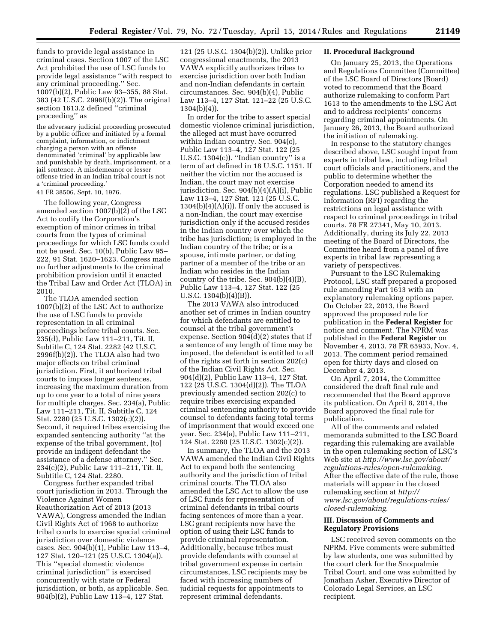funds to provide legal assistance in criminal cases. Section 1007 of the LSC Act prohibited the use of LSC funds to provide legal assistance ''with respect to any criminal proceeding.'' Sec. 1007(b)(2), Public Law 93–355, 88 Stat. 383 (42 U.S.C. 2996f(b)(2)). The original section 1613.2 defined ''criminal proceeding'' as

the adversary judicial proceeding prosecuted by a public officer and initiated by a formal complaint, information, or indictment charging a person with an offense denominated 'criminal' by applicable law and punishable by death, imprisonment, or a jail sentence. A misdemeanor or lesser offense tried in an Indian tribal court is not a 'criminal proceeding.'

41 FR 38506, Sept. 10, 1976.

The following year, Congress amended section 1007(b)(2) of the LSC Act to codify the Corporation's exemption of minor crimes in tribal courts from the types of criminal proceedings for which LSC funds could not be used. Sec. 10(b), Public Law 95– 222, 91 Stat. 1620–1623. Congress made no further adjustments to the criminal prohibition provision until it enacted the Tribal Law and Order Act (TLOA) in 2010.

The TLOA amended section 1007(b)(2) of the LSC Act to authorize the use of LSC funds to provide representation in all criminal proceedings before tribal courts. Sec. 235(d), Public Law 111–211, Tit. II, Subtitle C, 124 Stat. 2282 (42 U.S.C. 2996f(b)(2)). The TLOA also had two major effects on tribal criminal jurisdiction. First, it authorized tribal courts to impose longer sentences, increasing the maximum duration from up to one year to a total of nine years for multiple charges. Sec. 234(a), Public Law 111–211, Tit. II, Subtitle C, 124 Stat. 2280 (25 U.S.C. 1302(c)(2)). Second, it required tribes exercising the expanded sentencing authority ''at the expense of the tribal government, [to] provide an indigent defendant the assistance of a defense attorney.'' Sec. 234(c)(2), Public Law 111–211, Tit. II, Subtitle C, 124 Stat. 2280.

Congress further expanded tribal court jurisdiction in 2013. Through the Violence Against Women Reauthorization Act of 2013 (2013 VAWA), Congress amended the Indian Civil Rights Act of 1968 to authorize tribal courts to exercise special criminal jurisdiction over domestic violence cases. Sec. 904(b)(1), Public Law 113–4, 127 Stat. 120–121 (25 U.S.C. 1304(a)). This ''special domestic violence criminal jurisdiction'' is exercised concurrently with state or Federal jurisdiction, or both, as applicable. Sec. 904(b)(2), Public Law 113–4, 127 Stat.

121 (25 U.S.C. 1304(b)(2)). Unlike prior congressional enactments, the 2013 VAWA explicitly authorizes tribes to exercise jurisdiction over both Indian and non-Indian defendants in certain circumstances. Sec. 904(b)(4), Public Law 113–4, 127 Stat. 121–22 (25 U.S.C. 1304(b)(4)).

In order for the tribe to assert special domestic violence criminal jurisdiction, the alleged act must have occurred within Indian country. Sec. 904(c), Public Law 113–4, 127 Stat. 122 (25 U.S.C.  $1304(c)$ . "Indian country" is a term of art defined in 18 U.S.C. 1151. If neither the victim nor the accused is Indian, the court may not exercise jurisdiction. Sec. 904(b)(4)(A)(i), Public Law 113–4, 127 Stat. 121 (25 U.S.C.  $1304(b)(4)(A)(i)$ . If only the accused is a non-Indian, the court may exercise jurisdiction only if the accused resides in the Indian country over which the tribe has jurisdiction; is employed in the Indian country of the tribe; or is a spouse, intimate partner, or dating partner of a member of the tribe or an Indian who resides in the Indian country of the tribe. Sec. 904(b)(4)(B), Public Law 113–4, 127 Stat. 122 (25 U.S.C. 1304(b)(4)(B)).

The 2013 VAWA also introduced another set of crimes in Indian country for which defendants are entitled to counsel at the tribal government's expense. Section 904(d)(2) states that if a sentence of any length of time may be imposed, the defendant is entitled to all of the rights set forth in section 202(c) of the Indian Civil Rights Act. Sec. 904(d)(2), Public Law 113–4, 127 Stat. 122 (25 U.S.C. 1304(d)(2)). The TLOA previously amended section 202(c) to require tribes exercising expanded criminal sentencing authority to provide counsel to defendants facing total terms of imprisonment that would exceed one year. Sec. 234(a), Public Law 111–211, 124 Stat. 2280 (25 U.S.C. 1302(c)(2)).

In summary, the TLOA and the 2013 VAWA amended the Indian Civil Rights Act to expand both the sentencing authority and the jurisdiction of tribal criminal courts. The TLOA also amended the LSC Act to allow the use of LSC funds for representation of criminal defendants in tribal courts facing sentences of more than a year. LSC grant recipients now have the option of using their LSC funds to provide criminal representation. Additionally, because tribes must provide defendants with counsel at tribal government expense in certain circumstances, LSC recipients may be faced with increasing numbers of judicial requests for appointments to represent criminal defendants.

#### **II. Procedural Background**

On January 25, 2013, the Operations and Regulations Committee (Committee) of the LSC Board of Directors (Board) voted to recommend that the Board authorize rulemaking to conform Part 1613 to the amendments to the LSC Act and to address recipients' concerns regarding criminal appointments. On January 26, 2013, the Board authorized the initiation of rulemaking.

In response to the statutory changes described above, LSC sought input from experts in tribal law, including tribal court officials and practitioners, and the public to determine whether the Corporation needed to amend its regulations. LSC published a Request for Information (RFI) regarding the restrictions on legal assistance with respect to criminal proceedings in tribal courts. 78 FR 27341, May 10, 2013. Additionally, during its July 22, 2013 meeting of the Board of Directors, the Committee heard from a panel of five experts in tribal law representing a variety of perspectives.

Pursuant to the LSC Rulemaking Protocol, LSC staff prepared a proposed rule amending Part 1613 with an explanatory rulemaking options paper. On October 22, 2013, the Board approved the proposed rule for publication in the **Federal Register** for notice and comment. The NPRM was published in the **Federal Register** on November 4, 2013. 78 FR 65933, Nov. 4, 2013. The comment period remained open for thirty days and closed on December 4, 2013.

On April 7, 2014, the Committee considered the draft final rule and recommended that the Board approve its publication. On April 8, 2014, the Board approved the final rule for publication.

All of the comments and related memoranda submitted to the LSC Board regarding this rulemaking are available in the open rulemaking section of LSC's Web site at *[http://www.lsc.gov/about/](http://www.lsc.gov/about/regulations-rules/open-rulemaking) [regulations-rules/open-rulemaking.](http://www.lsc.gov/about/regulations-rules/open-rulemaking)*  After the effective date of the rule, those materials will appear in the closed rulemaking section at *[http://](http://www.lsc.gov/about/regulations-rules/closed-rulemaking) [www.lsc.gov/about/regulations-rules/](http://www.lsc.gov/about/regulations-rules/closed-rulemaking) [closed-rulemaking.](http://www.lsc.gov/about/regulations-rules/closed-rulemaking)* 

#### **III. Discussion of Comments and Regulatory Provisions**

LSC received seven comments on the NPRM. Five comments were submitted by law students, one was submitted by the court clerk for the Snoqualmie Tribal Court, and one was submitted by Jonathan Asher, Executive Director of Colorado Legal Services, an LSC recipient.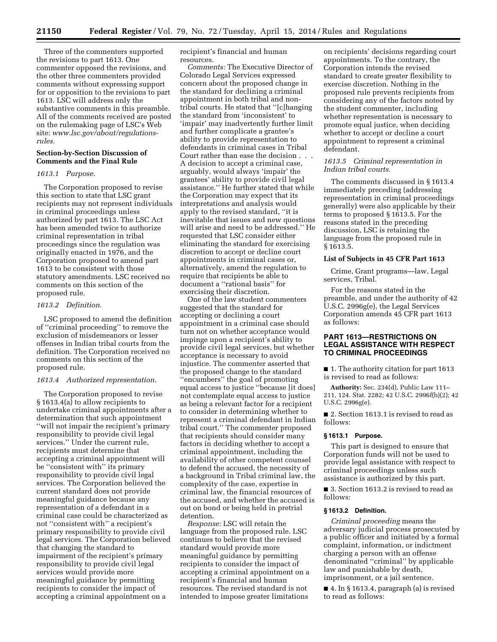Three of the commenters supported the revisions to part 1613. One commenter opposed the revisions, and the other three commenters provided comments without expressing support for or opposition to the revisions to part 1613. LSC will address only the substantive comments in this preamble. All of the comments received are posted on the rulemaking page of LSC's Web site: *[www.lsc.gov/about/regulations](http://www.lsc.gov/about/regulations-rules)[rules.](http://www.lsc.gov/about/regulations-rules)* 

#### **Section-by-Section Discussion of Comments and the Final Rule**

#### *1613.1 Purpose.*

The Corporation proposed to revise this section to state that LSC grant recipients may not represent individuals in criminal proceedings unless authorized by part 1613. The LSC Act has been amended twice to authorize criminal representation in tribal proceedings since the regulation was originally enacted in 1976, and the Corporation proposed to amend part 1613 to be consistent with those statutory amendments. LSC received no comments on this section of the proposed rule.

#### *1613.2 Definition.*

LSC proposed to amend the definition of ''criminal proceeding'' to remove the exclusion of misdemeanors or lesser offenses in Indian tribal courts from the definition. The Corporation received no comments on this section of the proposed rule.

#### *1613.4 Authorized representation.*

The Corporation proposed to revise § 1613.4(a) to allow recipients to undertake criminal appointments after a determination that such appointment ''will not impair the recipient's primary responsibility to provide civil legal services.'' Under the current rule, recipients must determine that accepting a criminal appointment will be ''consistent with'' its primary responsibility to provide civil legal services. The Corporation believed the current standard does not provide meaningful guidance because any representation of a defendant in a criminal case could be characterized as not ''consistent with'' a recipient's primary responsibility to provide civil legal services. The Corporation believed that changing the standard to impairment of the recipient's primary responsibility to provide civil legal services would provide more meaningful guidance by permitting recipients to consider the impact of accepting a criminal appointment on a

recipient's financial and human resources.

*Comments:* The Executive Director of Colorado Legal Services expressed concern about the proposed change in the standard for declining a criminal appointment in both tribal and nontribal courts. He stated that ''[c]hanging the standard from 'inconsistent' to 'impair' may inadvertently further limit and further complicate a grantee's ability to provide representation to defendants in criminal cases in Tribal Court rather than ease the decision . . . A decision to accept a criminal case, arguably, would always 'impair' the grantees' ability to provide civil legal assistance.'' He further stated that while the Corporation may expect that its interpretations and analysis would apply to the revised standard, ''it is inevitable that issues and new questions will arise and need to be addressed.'' He requested that LSC consider either eliminating the standard for exercising discretion to accept or decline court appointments in criminal cases or, alternatively, amend the regulation to require that recipients be able to document a ''rational basis'' for exercising their discretion.

One of the law student commenters suggested that the standard for accepting or declining a court appointment in a criminal case should turn not on whether acceptance would impinge upon a recipient's ability to provide civil legal services, but whether acceptance is necessary to avoid injustice. The commenter asserted that the proposed change to the standard ''encumbers'' the goal of promoting equal access to justice ''because [it does] not contemplate equal access to justice as being a relevant factor for a recipient to consider in determining whether to represent a criminal defendant in Indian tribal court.'' The commenter proposed that recipients should consider many factors in deciding whether to accept a criminal appointment, including the availability of other competent counsel to defend the accused, the necessity of a background in Tribal criminal law, the complexity of the case, expertise in criminal law, the financial resources of the accused, and whether the accused is out on bond or being held in pretrial detention.

*Response:* LSC will retain the language from the proposed rule. LSC continues to believe that the revised standard would provide more meaningful guidance by permitting recipients to consider the impact of accepting a criminal appointment on a recipient's financial and human resources. The revised standard is not intended to impose greater limitations

on recipients' decisions regarding court appointments. To the contrary, the Corporation intends the revised standard to create greater flexibility to exercise discretion. Nothing in the proposed rule prevents recipients from considering any of the factors noted by the student commenter, including whether representation is necessary to promote equal justice, when deciding whether to accept or decline a court appointment to represent a criminal defendant.

## *1613.5 Criminal representation in Indian tribal courts.*

The comments discussed in § 1613.4 immediately preceding (addressing representation in criminal proceedings generally) were also applicable by their terms to proposed § 1613.5. For the reasons stated in the preceding discussion, LSC is retaining the language from the proposed rule in § 1613.5.

#### **List of Subjects in 45 CFR Part 1613**

Crime, Grant programs—law, Legal services, Tribal.

For the reasons stated in the preamble, and under the authority of 42 U.S.C. 2996g(e), the Legal Services Corporation amends 45 CFR part 1613 as follows:

#### **PART 1613—RESTRICTIONS ON LEGAL ASSISTANCE WITH RESPECT TO CRIMINAL PROCEEDINGS**

■ 1. The authority citation for part 1613 is revised to read as follows:

**Authority:** Sec. 234(d), Public Law 111– 211, 124. Stat. 2282; 42 U.S.C. 2996f(b)(2); 42 U.S.C. 2996g(e).

■ 2. Section 1613.1 is revised to read as follows:

## **§ 1613.1 Purpose.**

This part is designed to ensure that Corporation funds will not be used to provide legal assistance with respect to criminal proceedings unless such assistance is authorized by this part.

■ 3. Section 1613.2 is revised to read as follows:

#### **§ 1613.2 Definition.**

*Criminal proceeding* means the adversary judicial process prosecuted by a public officer and initiated by a formal complaint, information, or indictment charging a person with an offense denominated ''criminal'' by applicable law and punishable by death, imprisonment, or a jail sentence.

■ 4. In § 1613.4, paragraph (a) is revised to read as follows: